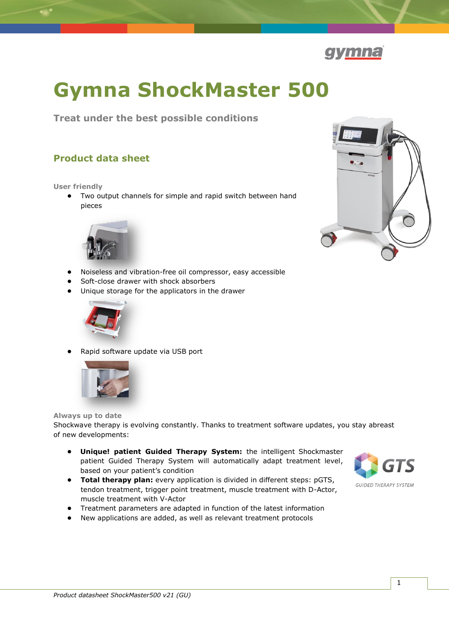

# **Gymna ShockMaster 500**

**Treat under the best possible conditions**

## **Product data sheet**

#### **User friendly**

**•** Two output channels for simple and rapid switch between hand pieces



- 
- **•** Noiseless and vibration-free oil compressor, easy accessible
- **•** Soft-close drawer with shock absorbers
- **•** Unique storage for the applicators in the drawer



**•** Rapid software update via USB port



#### **Always up to date**

Shockwave therapy is evolving constantly. Thanks to treatment software updates, you stay abreast of new developments:

- **• Unique! patient Guided Therapy System:** the intelligent Shockmaster patient Guided Therapy System will automatically adapt treatment level, based on your patient's condition
- **• Total therapy plan:** every application is divided in different steps: pGTS, tendon treatment, trigger point treatment, muscle treatment with D-Actor, muscle treatment with V-Actor
- **•** Treatment parameters are adapted in function of the latest information
- **•** New applications are added, as well as relevant treatment protocols

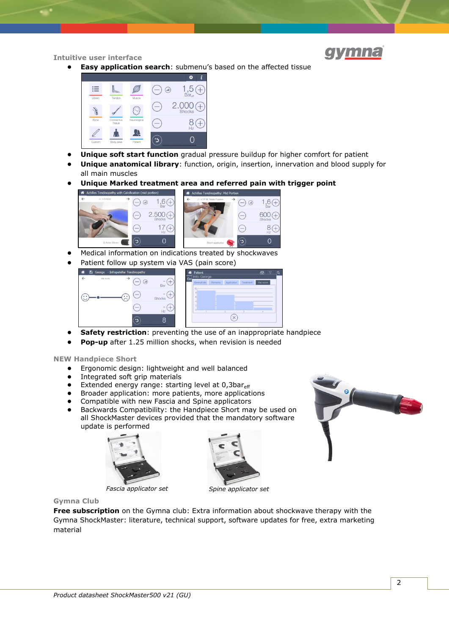

**Intuitive user interface**

**Easy application search:** submenu's based on the affected tissue



- **Unique soft start function** gradual pressure buildup for higher comfort for patient
- **• Unique anatomical library**: function, origin, insertion, innervation and blood supply for all main muscles
- **• Unique Marked treatment area and referred pain with trigger point**



- **•** Medical information on indications treated by shockwaves
- Patient follow up system via VAS (pain score)



- **• Safety restriction**: preventing the use of an inappropriate handpiece
- **• Pop-up** after 1.25 million shocks, when revision is needed

**NEW Handpiece Short**

- **•** Ergonomic design: lightweight and well balanced
- **•** Integrated soft grip materials
- Extended energy range: starting level at 0,3bareff
- **•** Broader application: more patients, more applications
- **•** Compatible with new Fascia and Spine applicators<br>• Backwards Compatibility: the Handniece Short ma
- **•** Backwards Compatibility: the Handpiece Short may be used on all ShockMaster devices provided that the mandatory software update is performed







*Fascia applicator set Spine applicator set*

**Gymna Club**

**Free subscription** on the Gymna club: Extra information about shockwave therapy with the Gymna ShockMaster: literature, technical support, software updates for free, extra marketing material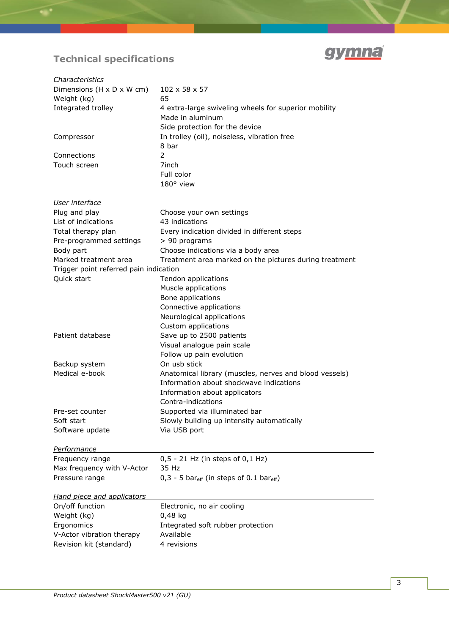

# **Technical specifications**

| Characteristics                        |                                                                    |
|----------------------------------------|--------------------------------------------------------------------|
| Dimensions (H x D x W cm)              | $102 \times 58 \times 57$                                          |
| Weight (kg)                            | 65                                                                 |
| Integrated trolley                     | 4 extra-large swiveling wheels for superior mobility               |
|                                        | Made in aluminum                                                   |
|                                        | Side protection for the device                                     |
| Compressor                             | In trolley (oil), noiseless, vibration free                        |
|                                        | 8 bar                                                              |
| Connections                            | 2                                                                  |
| Touch screen                           | 7inch                                                              |
|                                        | Full color                                                         |
|                                        | 180° view                                                          |
|                                        |                                                                    |
| User interface                         |                                                                    |
| Plug and play<br>List of indications   | Choose your own settings<br>43 indications                         |
|                                        |                                                                    |
| Total therapy plan                     | Every indication divided in different steps                        |
| Pre-programmed settings                | > 90 programs                                                      |
| Body part                              | Choose indications via a body area                                 |
| Marked treatment area                  | Treatment area marked on the pictures during treatment             |
| Trigger point referred pain indication | Tendon applications                                                |
| Quick start                            |                                                                    |
|                                        | Muscle applications                                                |
|                                        | Bone applications                                                  |
|                                        | Connective applications                                            |
|                                        | Neurological applications                                          |
|                                        | Custom applications                                                |
| Patient database                       | Save up to 2500 patients                                           |
|                                        | Visual analogue pain scale                                         |
|                                        | Follow up pain evolution                                           |
| Backup system                          | On usb stick                                                       |
| Medical e-book                         | Anatomical library (muscles, nerves and blood vessels)             |
|                                        | Information about shockwave indications                            |
|                                        | Information about applicators                                      |
|                                        | Contra-indications                                                 |
| Pre-set counter                        | Supported via illuminated bar                                      |
| Soft start                             | Slowly building up intensity automatically                         |
| Software update                        | Via USB port                                                       |
| Performance                            |                                                                    |
| Frequency range                        | 0,5 - 21 Hz (in steps of 0,1 Hz)                                   |
| Max frequency with V-Actor             | 35 Hz                                                              |
| Pressure range                         | $0,3 - 5$ bar <sub>eff</sub> (in steps of 0.1 bar <sub>eff</sub> ) |
| <b>Hand piece and applicators</b>      |                                                                    |
| On/off function                        | Electronic, no air cooling                                         |
| Weight (kg)                            | 0,48 kg                                                            |
| Ergonomics                             | Integrated soft rubber protection                                  |
| V-Actor vibration therapy              | Available                                                          |
| Revision kit (standard)                | 4 revisions                                                        |
|                                        |                                                                    |